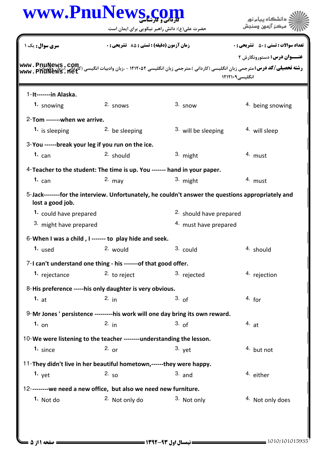|                              | www.PnuNews.com                                                           |                                                                                                    | دانشگاه پيام نور                             |
|------------------------------|---------------------------------------------------------------------------|----------------------------------------------------------------------------------------------------|----------------------------------------------|
|                              | حضرت علی(ع): دانش راهبر نیکویی برای ایمان است                             |                                                                                                    | مركز آزمون وسنجش                             |
| <b>سری سوال :</b> یک ۱       | <b>زمان آزمون (دقیقه) : تستی : 85 ٪ تشریحی : 0</b>                        |                                                                                                    | <b>تعداد سوالات : تستي : 50 ٪ تشريحي : 0</b> |
|                              |                                                                           |                                                                                                    | <b>عنــوان درس:</b> دستورونگارش ۲            |
| www.PnüNews.n                |                                                                           |                                                                                                    | انگلیسی ۱۲۱۲۱۰۹                              |
| 1-It-------in Alaska.        |                                                                           |                                                                                                    |                                              |
| 1. snowing                   | $2.$ snows                                                                | $3.$ snow                                                                                          | 4. being snowing                             |
| 2-Tom -------when we arrive. |                                                                           |                                                                                                    |                                              |
| 1. is sleeping               | <sup>2</sup> be sleeping                                                  | 3. will be sleeping                                                                                | 4. will sleep                                |
|                              | 3-You ------break your leg if you run on the ice.                         |                                                                                                    |                                              |
| 1. $can$                     | 2. should                                                                 | 3. might                                                                                           | 4. must                                      |
|                              | 4-Teacher to the student: The time is up. You ------- hand in your paper. |                                                                                                    |                                              |
| 1. $can$                     | $2.$ may                                                                  | 3. might                                                                                           | 4. must                                      |
| lost a good job.             |                                                                           | 5-Jack--------for the interview. Unfortunately, he couldn't answer the questions appropriately and |                                              |
| 1. could have prepared       |                                                                           | 2. should have prepared                                                                            |                                              |
| 3. might have prepared       |                                                                           | 4. must have prepared                                                                              |                                              |
|                              | 6-When I was a child, I ------- to play hide and seek.                    |                                                                                                    |                                              |
| 1. used 2. would             |                                                                           | 3. could                                                                                           | 4. should                                    |
|                              | 7-I can't understand one thing - his -------of that good offer.           |                                                                                                    |                                              |
| 1. rejectance                | 2. to reject                                                              | 3. rejected                                                                                        | 4. rejection                                 |
|                              | 8-His preference -----his only daughter is very obvious.                  |                                                                                                    |                                              |
| 1. $at$                      | 2. $in$                                                                   | 3. of                                                                                              | $4.$ for                                     |
|                              |                                                                           | 9-Mr Jones ' persistence ---------his work will one day bring its own reward.                      |                                              |
| $1.$ on                      | 2. $in$                                                                   | 3. of                                                                                              | 4.at                                         |
|                              | 10-We were listening to the teacher --------understanding the lesson.     |                                                                                                    |                                              |
| $1. \;$ since                | 2. $or$                                                                   | $3.$ yet                                                                                           | 4. but not                                   |
|                              |                                                                           |                                                                                                    |                                              |
| 1. $yet$                     | 2. $50$                                                                   | $3.$ and                                                                                           | 4. either                                    |
|                              | 12---------we need a new office, but also we need new furniture.          |                                                                                                    |                                              |
| 1. Not do                    | <sup>2.</sup> Not only do                                                 | 3. Not only                                                                                        | <sup>4</sup> Not only does                   |
|                              | 11-They didn't live in her beautiful hometown,------they were happy.      |                                                                                                    |                                              |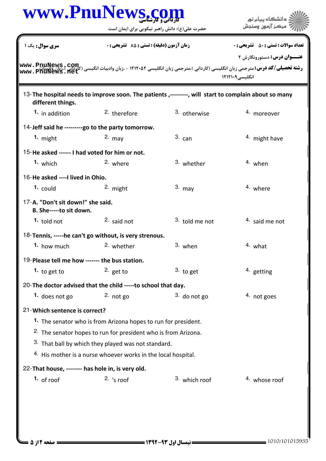|                                                              | www.PnuNews.com                                                                                     |                | دانشگاه پیام نور<br>مركز آزمون وسنجش                                                                                                                                                                                                                                       |
|--------------------------------------------------------------|-----------------------------------------------------------------------------------------------------|----------------|----------------------------------------------------------------------------------------------------------------------------------------------------------------------------------------------------------------------------------------------------------------------------|
|                                                              | حضرت علی(ع): دانش راهبر نیکویی برای ایمان است                                                       |                |                                                                                                                                                                                                                                                                            |
| <b>سری سوال :</b> یک ۱                                       | زمان آزمون (دقیقه) : تستی : 85 ٪ تشریحی : 0                                                         |                | <b>تعداد سوالات : تستي : 50 ٪ تشريحي : 0</b>                                                                                                                                                                                                                               |
|                                                              |                                                                                                     |                | <b>عنـــوان درس:</b> دستورونگارش ۲                                                                                                                                                                                                                                         |
|                                                              |                                                                                                     |                | <b>رشته تحصیلی/کد درس: مترجمی زبان انگلیسی (کاردانی )،مترجمی زبان انگلیسی ۱۲۱۲۰۵۲ - ،زبان وادبیات انگیسی (ک<mark>لوتونی)</mark><br/>مسجد از است<b>اده استان</b> مترجمی زبان انگلیسی (کاردانی )،مترجمی زبان انگلیسی ۱۲۱۲۰۵۲ - ،زبان وادبیات انگیسی (</b><br>انگلیسی ۱۲۱۲۱۰۹ |
| different things.                                            | 13- The hospital needs to improve soon. The patients,--------, will start to complain about so many |                |                                                                                                                                                                                                                                                                            |
| 1. in addition                                               | <sup>2</sup> therefore                                                                              | 3. otherwise   | 4. moreover                                                                                                                                                                                                                                                                |
|                                                              | 14-Jeff said he ---------go to the party tomorrow.                                                  |                |                                                                                                                                                                                                                                                                            |
| 1. $might$                                                   | $2.$ may                                                                                            | $3.$ can       | <sup>4.</sup> might have                                                                                                                                                                                                                                                   |
| 15-He asked ------ I had voted for him or not.               |                                                                                                     |                |                                                                                                                                                                                                                                                                            |
| 1. which                                                     | 2. where                                                                                            | 3. whether     | 4. when                                                                                                                                                                                                                                                                    |
| 16-He asked ---- I lived in Ohio.                            |                                                                                                     |                |                                                                                                                                                                                                                                                                            |
| $1.$ could                                                   | 2. might                                                                                            | $3.$ may       | 4. where                                                                                                                                                                                                                                                                   |
| 17-A. "Don't sit down!" she said.<br>B. She-----to sit down. |                                                                                                     |                |                                                                                                                                                                                                                                                                            |
| $1.$ told not                                                | $2.$ said not                                                                                       | 3. told me not | <sup>4</sup> said me not                                                                                                                                                                                                                                                   |
|                                                              | 18-Tennis, -----he can't go without, is very strenous.                                              |                |                                                                                                                                                                                                                                                                            |
| 1. how much                                                  | 2. whether                                                                                          | 3. when        | 4. what                                                                                                                                                                                                                                                                    |
| 19-Please tell me how ------- the bus station.               |                                                                                                     |                |                                                                                                                                                                                                                                                                            |
| 1. to get to                                                 | 2. get to                                                                                           | $3.$ to get    | 4. getting                                                                                                                                                                                                                                                                 |
|                                                              | 20-The doctor advised that the child -----to school that day.                                       |                |                                                                                                                                                                                                                                                                            |
| 1. does not go                                               | 2. $not go$                                                                                         | $3.$ do not go | 4. not goes                                                                                                                                                                                                                                                                |
| 21-Which sentence is correct?                                |                                                                                                     |                |                                                                                                                                                                                                                                                                            |
|                                                              | 1. The senator who is from Arizona hopes to run for president.                                      |                |                                                                                                                                                                                                                                                                            |
|                                                              | <sup>2.</sup> The senator hopes to run for president who is from Arizona.                           |                |                                                                                                                                                                                                                                                                            |
|                                                              | 3. That ball by which they played was not standard.                                                 |                |                                                                                                                                                                                                                                                                            |
|                                                              | 4. His mother is a nurse whoever works in the local hospital.                                       |                |                                                                                                                                                                                                                                                                            |
| 22-That house, -------- has hole in, is very old.            |                                                                                                     |                |                                                                                                                                                                                                                                                                            |
| 1. of roof                                                   | $2.$ 's roof                                                                                        | 3. which roof  | 4. whose roof                                                                                                                                                                                                                                                              |
|                                                              |                                                                                                     |                |                                                                                                                                                                                                                                                                            |
|                                                              |                                                                                                     |                |                                                                                                                                                                                                                                                                            |
|                                                              |                                                                                                     |                |                                                                                                                                                                                                                                                                            |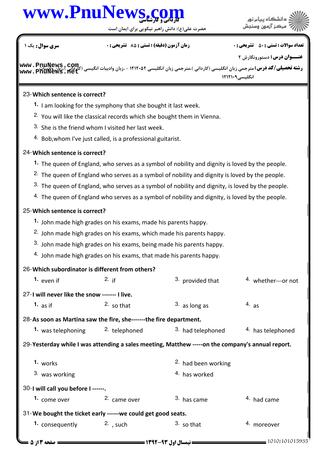

حضرت علي(ع): دانش راهبر نيكويي براي ايمان است

.<br>۽ دانشڪاه پيا<mark>ء نور</mark><br>' مرڪز آزمون وسنڊش

نعداد سوالات : تستي : ۵۰ تشريحي : . زمان آزمون (دقيقه) : تستي : ۸۵ تشريحي : . سري سوال : يک 1

**عنـــوان درس:** دستورونگارش ۲

**www . PnuNews , com**<br>ر**شته تحصیلی/کد درس:**مترجمی زبان انگلیسی (کاردانی )،مترجمی زبان انگلیسی ۱۲۱۲۰۵۲ - ،زبان وادبیات انگیسی (کاردانی )،زبان ولادبیات انگلیسی<sup>۹</sup>۰۱۲۱۲۱۰ **[www.PnuNews.net](http://pnunews.net)**

## 23- Which sentence is correct?

- 1. I am looking for the symphony that she bought it last week.
- <sup>2.</sup> You will like the classical records which she bought them in Vienna.
- 3. She is the friend whom I visited her last week.
- 4. Bob, whom I've just called, is a professional guitarist.

## Which sentence is correct? 24-

- The queen of England, who serves as a symbol of nobility and dignity is loved by the people. **1.**
- <sup>2.</sup> The queen of England who serves as a symbol of nobility and dignity is loved by the people.
- $3.$  The queen of England, who serves as a symbol of nobility and dignity, is loved by the people.
- $4.$  The queen of England who serves as a symbol of nobility and dignity, is loved by the people.

## 25-Which sentence is correct?

- John made high grades on his exams, made his parents happy. **1.**
- 2. John made high grades on his exams, which made his parents happy.
- $3.$  John made high grades on his exams, being made his parents happy.
- $4.$  John made high grades on his exams, that made his parents happy.

## 26-Which subordinator is different from others?

| 1. even if                                                         | 2. $if$      | 3. provided that                                                                                 | 4. whether---or not    |
|--------------------------------------------------------------------|--------------|--------------------------------------------------------------------------------------------------|------------------------|
| 27-I will never like the snow ------- I live.                      |              |                                                                                                  |                        |
| 1. $as$ if                                                         | $2.50$ that  | $3.$ as long as                                                                                  | 4. as                  |
| 28-As soon as Martina saw the fire, she-------the fire department. |              |                                                                                                  |                        |
| 1. was telephoning $\frac{2}{1}$ telephoned                        |              | 3. had telephoned                                                                                | 4. has telephoned      |
|                                                                    |              | 29-Yesterday while I was attending a sales meeting, Matthew -----on the company's annual report. |                        |
| 1. works                                                           |              | <sup>2.</sup> had been working                                                                   |                        |
| 3. was working                                                     |              | 4. has worked                                                                                    |                        |
| 30-1 will call you before I ------.                                |              |                                                                                                  |                        |
| 1. come over                                                       | 2. came over | <sup>3.</sup> has came                                                                           | <sup>4.</sup> had came |
| 31-We bought the ticket early ------we could get good seats.       |              |                                                                                                  |                        |
| 1. consequently                                                    | $2.$ , such  | $3.50$ that                                                                                      | <sup>4.</sup> moreover |
| صفحه 3 از 5 ـ                                                      |              | <b>: نیمسال اول ۹۳-۱۳۹۲ =</b>                                                                    |                        |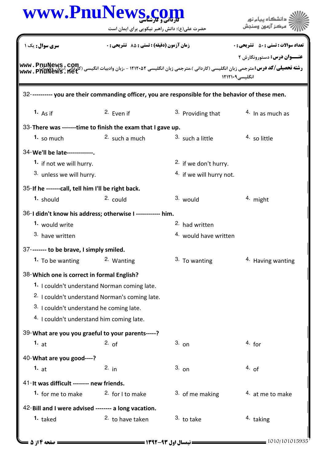| www.PnuNews.com                                                                                    |                                                           |                                  | دانشگاه پيام نور                                                                                                                                                                                                                                         |  |
|----------------------------------------------------------------------------------------------------|-----------------------------------------------------------|----------------------------------|----------------------------------------------------------------------------------------------------------------------------------------------------------------------------------------------------------------------------------------------------------|--|
|                                                                                                    | حضرت علی(ع): دانش راهبر نیکویی برای ایمان است             |                                  |                                                                                                                                                                                                                                                          |  |
| <b>سری سوال :</b> یک ۱                                                                             | <b>زمان آزمون (دقیقه) : تستی : 85 ٪ تشریحی : 0</b>        |                                  | <b>تعداد سوالات : تستي : 50 ٪ تشريحي : 0</b>                                                                                                                                                                                                             |  |
|                                                                                                    |                                                           |                                  | <b>عنـــوان درس:</b> دستورونگارش ۲                                                                                                                                                                                                                       |  |
|                                                                                                    |                                                           |                                  | <b>رشته تحصیلی/کد درس:</b> مترجمی زبان انگلیسی (کاردانی )،مترجمی زبان انگلیسی ۱۲۱۲۰۵۲ - ،زبان وادبیات انگیسی (کاردانی )<br>-----     اکترنیکی این کاردانی ) مترجمی زبان انگلیسی ۱۲۱۲۰۵۲ - ۱۳۱۴۰۵۰ - ۱۳۱۴۰ - ۱۳۰۰ میلادی این این این ای<br>انگلیسی۱۲۱۲۱۰۹ |  |
|                                                                                                    |                                                           |                                  |                                                                                                                                                                                                                                                          |  |
| 32----------- you are their commanding officer, you are responsible for the behavior of these men. |                                                           |                                  |                                                                                                                                                                                                                                                          |  |
| 1. As if                                                                                           | <sup>2.</sup> Even if                                     | 3. Providing that                | $4.$ In as much as                                                                                                                                                                                                                                       |  |
| 33-There was -------time to finish the exam that I gave up.                                        |                                                           |                                  |                                                                                                                                                                                                                                                          |  |
| 1. so much                                                                                         | $2.$ such a much                                          | 3. such a little                 | 4. so little                                                                                                                                                                                                                                             |  |
| 34-We'll be late-------------.                                                                     |                                                           |                                  |                                                                                                                                                                                                                                                          |  |
| 1. if not we will hurry.                                                                           |                                                           | 2. if we don't hurry.            |                                                                                                                                                                                                                                                          |  |
| 3. unless we will hurry.                                                                           |                                                           | 4. if we will hurry not.         |                                                                                                                                                                                                                                                          |  |
| 35-If he ------- call, tell him I'll be right back.                                                |                                                           |                                  |                                                                                                                                                                                                                                                          |  |
| 1. should                                                                                          | 2. could                                                  | 3. would                         | $4.$ might                                                                                                                                                                                                                                               |  |
| 36-I didn't know his address; otherwise I ------------ him.                                        |                                                           |                                  |                                                                                                                                                                                                                                                          |  |
| <sup>1.</sup> would write                                                                          |                                                           | <sup>2.</sup> had written        |                                                                                                                                                                                                                                                          |  |
| 3. have written                                                                                    |                                                           | <sup>4.</sup> would have written |                                                                                                                                                                                                                                                          |  |
| 37-------- to be brave, I simply smiled.                                                           |                                                           |                                  |                                                                                                                                                                                                                                                          |  |
| 1. To be wanting                                                                                   | 2. Wanting                                                | 3. To wanting                    | <sup>4</sup> Having wanting                                                                                                                                                                                                                              |  |
| 38-Which one is correct in formal English?                                                         |                                                           |                                  |                                                                                                                                                                                                                                                          |  |
|                                                                                                    | 1. I couldn't understand Norman coming late.              |                                  |                                                                                                                                                                                                                                                          |  |
|                                                                                                    | <sup>2.</sup> I couldn't understand Norman's coming late. |                                  |                                                                                                                                                                                                                                                          |  |
| 3. I couldn't understand he coming late.                                                           |                                                           |                                  |                                                                                                                                                                                                                                                          |  |
| <sup>4.</sup> I couldn't understand him coming late.                                               |                                                           |                                  |                                                                                                                                                                                                                                                          |  |
| 39-What are you you graeful to your parents-----?                                                  |                                                           |                                  |                                                                                                                                                                                                                                                          |  |
| 1. $at$                                                                                            | 2. of                                                     | $3.$ on                          | $4.$ for                                                                                                                                                                                                                                                 |  |
| 40-What are you good----?                                                                          |                                                           |                                  |                                                                                                                                                                                                                                                          |  |
| 1. $at$                                                                                            | 2. $in$                                                   | $3.$ on                          | 4. of                                                                                                                                                                                                                                                    |  |
| 41-It was difficult ------- new friends.                                                           |                                                           |                                  |                                                                                                                                                                                                                                                          |  |
| 1. for me to make                                                                                  | 2. for I to make                                          | 3. of me making                  | 4. at me to make                                                                                                                                                                                                                                         |  |
| 42-Bill and I were advised -------- a long vacation.                                               |                                                           |                                  |                                                                                                                                                                                                                                                          |  |
| $1.$ taked                                                                                         | <sup>2</sup> to have taken                                | 3. to take                       | <sup>4.</sup> taking                                                                                                                                                                                                                                     |  |
|                                                                                                    |                                                           |                                  |                                                                                                                                                                                                                                                          |  |